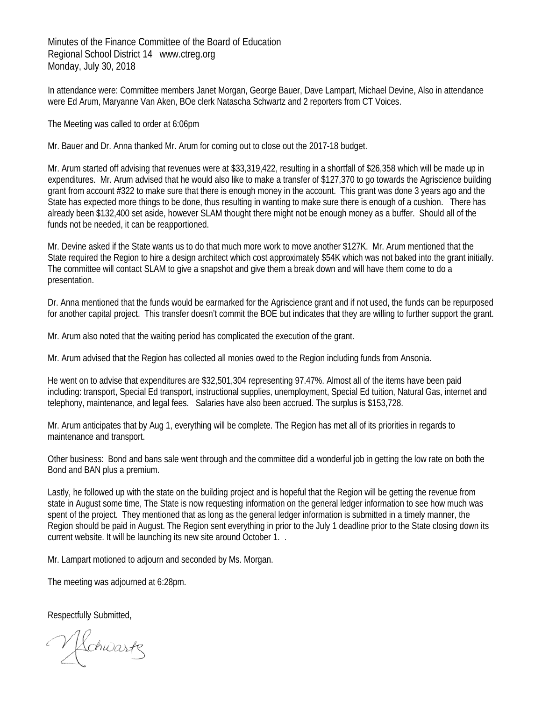Minutes of the Finance Committee of the Board of Education Regional School District 14 www.ctreg.org Monday, July 30, 2018

In attendance were: Committee members Janet Morgan, George Bauer, Dave Lampart, Michael Devine, Also in attendance were Ed Arum, Maryanne Van Aken, BOe clerk Natascha Schwartz and 2 reporters from CT Voices.

The Meeting was called to order at 6:06pm

Mr. Bauer and Dr. Anna thanked Mr. Arum for coming out to close out the 2017-18 budget.

Mr. Arum started off advising that revenues were at \$33,319,422, resulting in a shortfall of \$26,358 which will be made up in expenditures. Mr. Arum advised that he would also like to make a transfer of \$127,370 to go towards the Agriscience building grant from account #322 to make sure that there is enough money in the account. This grant was done 3 years ago and the State has expected more things to be done, thus resulting in wanting to make sure there is enough of a cushion. There has already been \$132,400 set aside, however SLAM thought there might not be enough money as a buffer. Should all of the funds not be needed, it can be reapportioned.

Mr. Devine asked if the State wants us to do that much more work to move another \$127K. Mr. Arum mentioned that the State required the Region to hire a design architect which cost approximately \$54K which was not baked into the grant initially. The committee will contact SLAM to give a snapshot and give them a break down and will have them come to do a presentation.

Dr. Anna mentioned that the funds would be earmarked for the Agriscience grant and if not used, the funds can be repurposed for another capital project. This transfer doesn't commit the BOE but indicates that they are willing to further support the grant.

Mr. Arum also noted that the waiting period has complicated the execution of the grant.

Mr. Arum advised that the Region has collected all monies owed to the Region including funds from Ansonia.

He went on to advise that expenditures are \$32,501,304 representing 97.47%. Almost all of the items have been paid including: transport, Special Ed transport, instructional supplies, unemployment, Special Ed tuition, Natural Gas, internet and telephony, maintenance, and legal fees. Salaries have also been accrued. The surplus is \$153,728.

Mr. Arum anticipates that by Aug 1, everything will be complete. The Region has met all of its priorities in regards to maintenance and transport.

Other business: Bond and bans sale went through and the committee did a wonderful job in getting the low rate on both the Bond and BAN plus a premium.

Lastly, he followed up with the state on the building project and is hopeful that the Region will be getting the revenue from state in August some time, The State is now requesting information on the general ledger information to see how much was spent of the project. They mentioned that as long as the general ledger information is submitted in a timely manner, the Region should be paid in August. The Region sent everything in prior to the July 1 deadline prior to the State closing down its current website. It will be launching its new site around October 1. .

Mr. Lampart motioned to adjourn and seconded by Ms. Morgan.

The meeting was adjourned at 6:28pm.

Respectfully Submitted,

Rehwartz